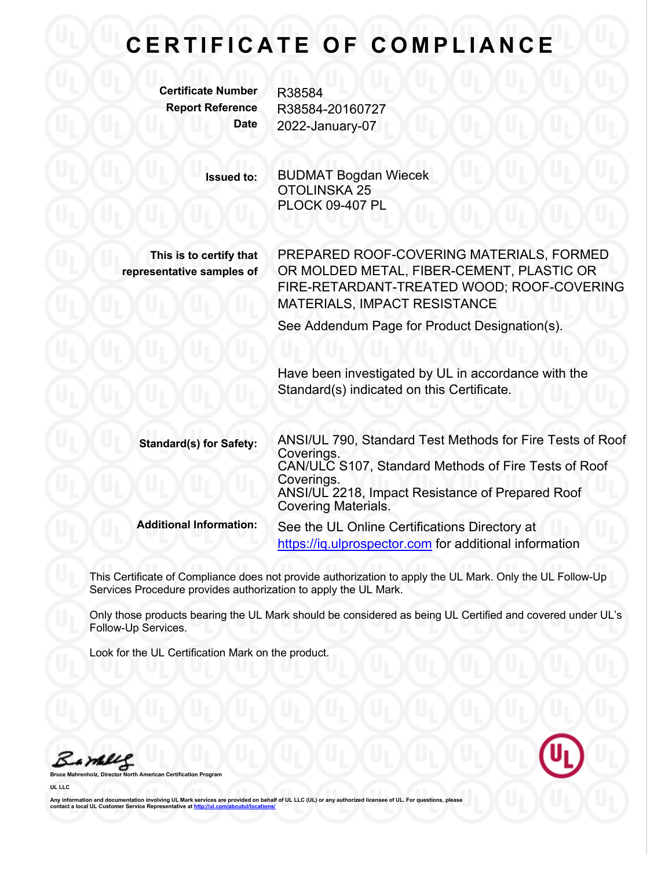## **CERTIFICATE OF COMPLIANCE**

**Certificate Number** R38584

**Report Reference** R38584-20160727 **Date** 2022-January-07

> **Issued to:** BUDMAT Bogdan Wiecek OTOLINSKA 25 PLOCK 09-407 PL

**This is to certify that representative samples of** PREPARED ROOF-COVERING MATERIALS, FORMED OR MOLDED METAL, FIBER-CEMENT, PLASTIC OR FIRE-RETARDANT-TREATED WOOD; ROOF-COVERING MATERIALS, IMPACT RESISTANCE

See Addendum Page for Product Designation(s).

Have been investigated by UL in accordance with the Standard(s) indicated on this Certificate.

**Standard(s) for Safety:** ANSI/UL 790, Standard Test Methods for Fire Tests of Roof CAN/ULC S107, Standard Methods of Fire Tests of Roof Coverings.<br>ANSI/UL 2218, Impact Resistance of Prepared Roof Covering Materials. **Additional Information:** See the UL Online Certifications Directory at https://iq.ulprospector.com for additional information

This Certificate of Compliance does not provide authorization to apply the UL Mark. Only the UL Follow-Up Services Procedure provides authorization to apply the UL Mark.

Only those products bearing the UL Mark should be considered as being UL Certified and covered under UL's Follow-Up Services.

Look for the UL Certification Mark on the product.

Bambles





Any information and documentation involving UL Mark services are provided on behalf of UL LLC (UL) or any authorized licensee of UL. For questions, please<br>contact a local UL Customer Service Representative at <u>http://ul.co</u>